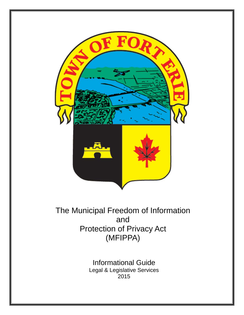

# The Municipal Freedom of Information and Protection of Privacy Act (MFIPPA)

Informational Guide Legal & Legislative Services 2015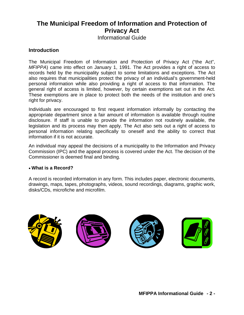## **The Municipal Freedom of Information and Protection of Privacy Act**

Informational Guide

## **Introduction**

The Municipal Freedom of Information and Protection of Privacy Act ("the Act", *MFIPPA*) came into effect on January 1, 1991. The Act provides a right of access to records held by the municipality subject to some limitations and exceptions. The Act also requires that municipalities protect the privacy of an individual's government-held personal information while also providing a right of access to that information. The general right of access is limited, however, by certain exemptions set out in the Act. These exemptions are in place to protect both the needs of the institution and one's right for privacy.

Individuals are encouraged to first request information informally by contacting the appropriate department since a fair amount of information is available through routine disclosure. If staff is unable to provide the information not routinely available, the legislation and its process may then apply. The Act also sets out a right of access to personal information relating specifically to oneself and the ability to correct that information if it is not accurate.

An individual may appeal the decisions of a municipality to the Information and Privacy Commission (IPC) and the appeal process is covered under the Act. The decision of the Commissioner is deemed final and binding.

#### • **What is a Record?**

A record is recorded information in any form. This includes paper, electronic documents, drawings, maps, tapes, photographs, videos, sound recordings, diagrams, graphic work, disks/CDs, microfiche and microfilm.

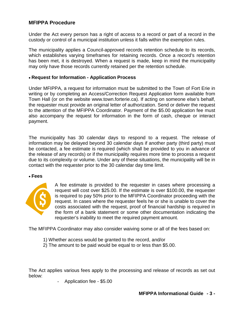## **MFIPPA Procedure**

Under the Act every person has a right of access to a record or part of a record in the custody or control of a municipal institution unless it falls within the exemption rules.

The municipality applies a Council-approved records retention schedule to its records, which establishes varying timeframes for retaining records. Once a record's retention has been met, it is destroyed. When a request is made, keep in mind the municipality may only have those records currently retained per the retention schedule.

#### • **Request for Information - Application Process**

Under MFIPPA, a request for information must be submitted to the Town of Fort Erie in writing or by completing an Access/Correction Request Application form available from Town Hall (or on the website www.town.forterie.ca). If acting on someone else's behalf, the requester must provide an original letter of authorization. Send or deliver the request to the attention of the MFIPPA Coordinator. Payment of the \$5.00 application fee must also accompany the request for information in the form of cash, cheque or interact payment.

The municipality has 30 calendar days to respond to a request. The release of information may be delayed beyond 30 calendar days if another party (third party) must be contacted, a fee estimate is required (which shall be provided to you in advance of the release of any records) or if the municipality requires more time to process a request due to its complexity or volume. Under any of these situations, the municipality will be in contact with the requester prior to the 30 calendar day time limit.

#### • **Fees**



A fee estimate is provided to the requester in cases where processing a request will cost over \$25.00. If the estimate is over \$100.00, the requester is required to pay 50% prior to the MFIPPA Coordinator proceeding with the request. In cases where the requester feels he or she is unable to cover the costs associated with the request, proof of financial hardship is required in the form of a bank statement or some other documentation indicating the requester's inability to meet the required payment amount.

The MFIPPA Coordinator may also consider waiving some or all of the fees based on:

- 1) Whether access would be granted to the record, and/or
- 2) The amount to be paid would be equal to or less than \$5.00.

The Act applies various fees apply to the processing and release of records as set out below:

- Application fee - \$5.00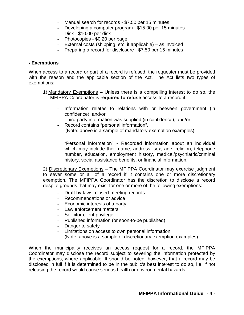- Manual search for records \$7.50 per 15 minutes
- Developing a computer program \$15.00 per 15 minutes
- Disk \$10.00 per disk
- Photocopies \$0.20 per page
- External costs (shipping, etc. if applicable) as invoiced
- Preparing a record for disclosure \$7.50 per 15 minutes

#### • **Exemptions**

When access to a record or part of a record is refused, the requester must be provided with the reason and the applicable section of the Act. The Act lists two types of exemptions:

- 1) Mandatory Exemptions Unless there is a compelling interest to do so, the MFIPPA Coordinator is **required to refuse** access to a record if:
	- Information relates to relations with or between government (in confidence), and/or
	- Third party information was supplied (in confidence), and/or
	- Record contains "personal information". (Note: above is a sample of mandatory exemption examples)

"Personal information" - Recorded information about an individual which may include their name, address, sex, age, religion, telephone number, education, employment history, medical/psychiatric/criminal history, social assistance benefits, or financial information.

2) Discretionary Exemptions – The MFIPPA Coordinator may exercise judgment to sever some or all of a record if it contains one or more discretionary exemption. The MFIPPA Coordinator has the discretion to disclose a record despite grounds that may exist for one or more of the following exemptions:

- Draft by-laws, closed-meeting records
- Recommendations or advice
- Economic interests of a party
- Law enforcement matters
- Solicitor-client privilege
- Published information (or soon-to-be published)
- Danger to safety
- Limitations on access to own personal information (Note: above is a sample of discretionary exemption examples)

When the municipality receives an access request for a record, the MFIPPA Coordinator may disclose the record subject to severing the information protected by the exemptions, where applicable. It should be noted, however, that a record may be disclosed in full if it is determined to be in the public's best interest to do so, i.e. if not releasing the record would cause serious health or environmental hazards.